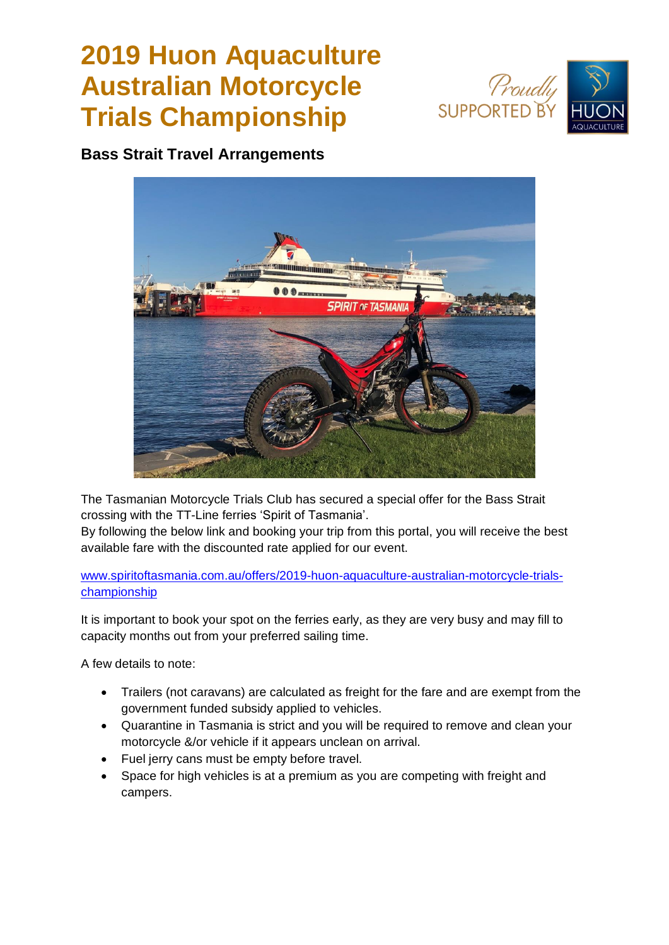## **2019 Huon Aquaculture Australian Motorcycle Trials Championship**





**Bass Strait Travel Arrangements**



The Tasmanian Motorcycle Trials Club has secured a special offer for the Bass Strait crossing with the TT-Line ferries 'Spirit of Tasmania'.

By following the below link and booking your trip from this portal, you will receive the best available fare with the discounted rate applied for our event.

[www.spiritoftasmania.com.au/offers/2019-huon-aquaculture-australian-motorcycle-trials](https://www.spiritoftasmania.com.au/offers/2019-huon-aquaculture-australian-motorcycle-trials-championship)[championship](https://www.spiritoftasmania.com.au/offers/2019-huon-aquaculture-australian-motorcycle-trials-championship)

It is important to book your spot on the ferries early, as they are very busy and may fill to capacity months out from your preferred sailing time.

A few details to note:

- Trailers (not caravans) are calculated as freight for the fare and are exempt from the government funded subsidy applied to vehicles.
- Quarantine in Tasmania is strict and you will be required to remove and clean your motorcycle &/or vehicle if it appears unclean on arrival.
- Fuel jerry cans must be empty before travel.
- Space for high vehicles is at a premium as you are competing with freight and campers.